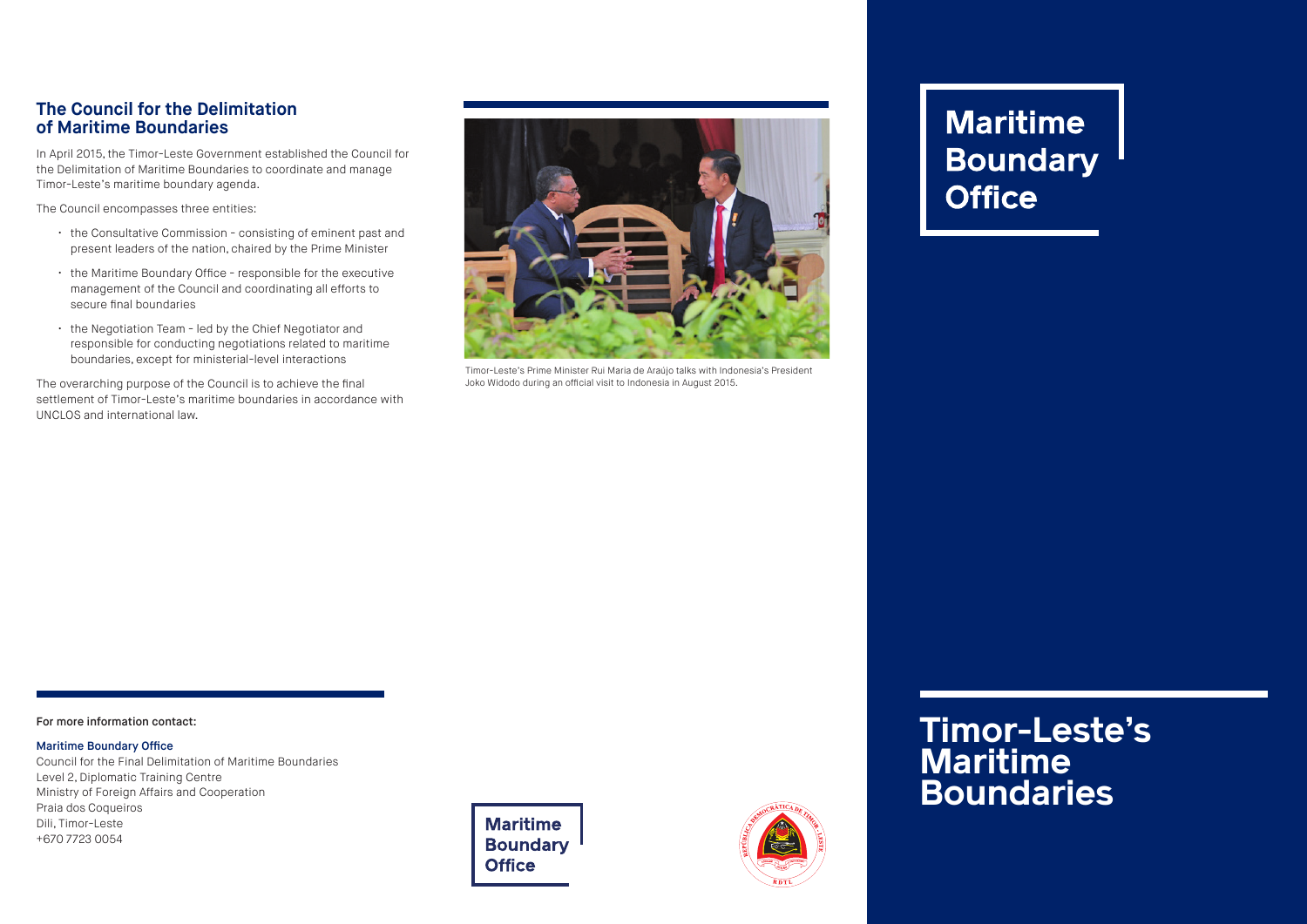## **The Council for the Delimitation of Maritime Boundaries**

In April 2015, the Timor-Leste Government established the Council for the Delimitation of Maritime Boundaries to coordinate and manage Timor-Leste's maritime boundary agenda.

The Council encompasses three entities:

- the Consultative Commission consisting of eminent past and present leaders of the nation, chaired by the Prime Minister
- the Maritime Boundary Office responsible for the executive management of the Council and coordinating all efforts to secure final boundaries
- the Negotiation Team led by the Chief Negotiator and responsible for conducting negotiations related to maritime boundaries, except for ministerial-level interactions

The overarching purpose of the Council is to achieve the final settlement of Timor-Leste's maritime boundaries in accordance with UNCLOS and international law.



Timor-Leste's Prime Minister Rui Maria de Araújo talks with Indonesia's President Joko Widodo during an official visit to Indonesia in August 2015.

# **Maritime Boundary Office**

#### For more information contact:

#### Maritime Boundary Office

Council for the Final Delimitation of Maritime Boundaries Level 2, Diplomatic Training Centre Ministry of Foreign Affairs and Cooperation Praia dos Coqueiros Dili, Timor-Leste +670 7723 0054





## **Timor-Leste's Maritime Boundaries**